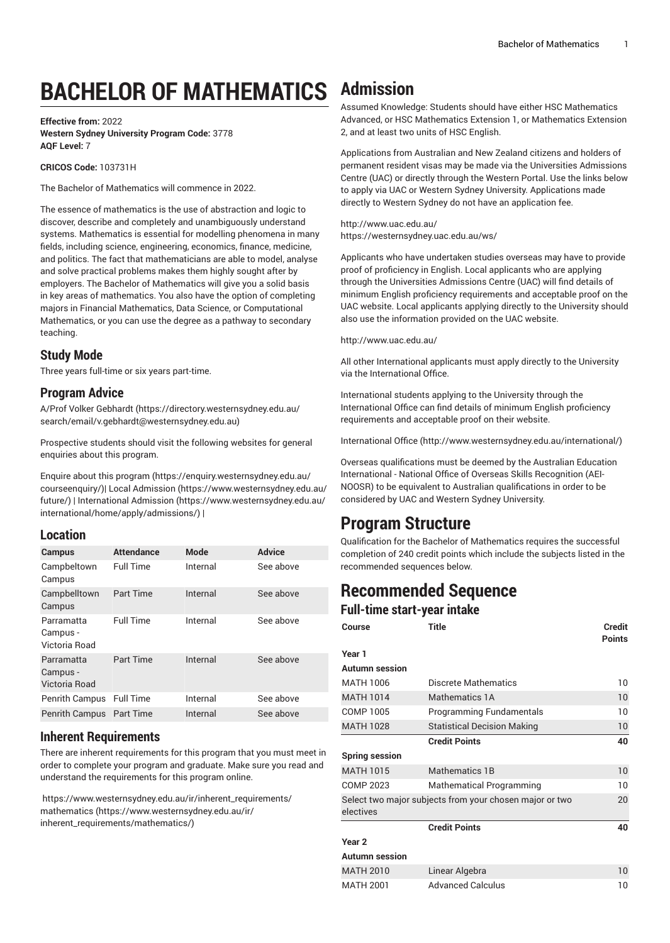# **BACHELOR OF MATHEMATICS Admission**

#### **Effective from:** 2022 **Western Sydney University Program Code:** 3778 **AQF Level:** 7

**CRICOS Code:** 103731H

The Bachelor of Mathematics will commence in 2022.

The essence of mathematics is the use of abstraction and logic to discover, describe and completely and unambiguously understand systems. Mathematics is essential for modelling phenomena in many fields, including science, engineering, economics, finance, medicine, and politics. The fact that mathematicians are able to model, analyse and solve practical problems makes them highly sought after by employers. The Bachelor of Mathematics will give you a solid basis in key areas of mathematics. You also have the option of completing majors in Financial Mathematics, Data Science, or Computational Mathematics, or you can use the degree as a pathway to secondary teaching.

# **Study Mode**

Three years full-time or six years part-time.

# **Program Advice**

A/Prof Volker [Gebhardt](https://directory.westernsydney.edu.au/search/email/v.gebhardt@westernsydney.edu.au) ([https://directory.westernsydney.edu.au/](https://directory.westernsydney.edu.au/search/email/v.gebhardt@westernsydney.edu.au) [search/email/v.gebhardt@westernsydney.edu.au](https://directory.westernsydney.edu.au/search/email/v.gebhardt@westernsydney.edu.au))

Prospective students should visit the following websites for general enquiries about this program.

Enquire about this [program \(https://enquiry.westernsydney.edu.au/](https://enquiry.westernsydney.edu.au/courseenquiry/) [courseenquiry/](https://enquiry.westernsydney.edu.au/courseenquiry/))| [Local Admission \(https://www.westernsydney.edu.au/](https://www.westernsydney.edu.au/future/) [future/\)](https://www.westernsydney.edu.au/future/) | [International Admission](https://www.westernsydney.edu.au/international/home/apply/admissions/) ([https://www.westernsydney.edu.au/](https://www.westernsydney.edu.au/international/home/apply/admissions/) [international/home/apply/admissions/](https://www.westernsydney.edu.au/international/home/apply/admissions/)) |

## **Location**

| <b>Campus</b>                           | <b>Attendance</b> | Mode     | Advice    |
|-----------------------------------------|-------------------|----------|-----------|
| Campbeltown<br>Campus                   | <b>Full Time</b>  | Internal | See above |
| Campbelltown<br>Campus                  | Part Time         | Internal | See above |
| Parramatta<br>Campus -<br>Victoria Road | <b>Full Time</b>  | Internal | See above |
| Parramatta<br>Campus -<br>Victoria Road | Part Time         | Internal | See above |
| <b>Penrith Campus</b>                   | <b>Full Time</b>  | Internal | See above |
| <b>Penrith Campus</b>                   | <b>Part Time</b>  | Internal | See above |

# **Inherent Requirements**

There are inherent requirements for this program that you must meet in order to complete your program and graduate. Make sure you read and understand the requirements for this program online.

[https://www.westernsydney.edu.au/ir/inherent\\_requirements/](https://www.westernsydney.edu.au/ir/inherent_requirements/mathematics/) [mathematics](https://www.westernsydney.edu.au/ir/inherent_requirements/mathematics/) [\(https://www.westernsydney.edu.au/ir/](https://www.westernsydney.edu.au/ir/inherent_requirements/mathematics/) [inherent\\_requirements/mathematics/\)](https://www.westernsydney.edu.au/ir/inherent_requirements/mathematics/)

Assumed Knowledge: Students should have either HSC Mathematics Advanced, or HSC Mathematics Extension 1, or Mathematics Extension 2, and at least two units of HSC English.

Applications from Australian and New Zealand citizens and holders of permanent resident visas may be made via the Universities Admissions Centre (UAC) or directly through the Western Portal. Use the links below to apply via UAC or Western Sydney University. Applications made directly to Western Sydney do not have an application fee.

<http://www.uac.edu.au/> <https://westernsydney.uac.edu.au/ws/>

Applicants who have undertaken studies overseas may have to provide proof of proficiency in English. Local applicants who are applying through the Universities Admissions Centre (UAC) will find details of minimum English proficiency requirements and acceptable proof on the UAC website. Local applicants applying directly to the University should also use the information provided on the UAC website.

<http://www.uac.edu.au/>

All other International applicants must apply directly to the University via the International Office.

International students applying to the University through the International Office can find details of minimum English proficiency requirements and acceptable proof on their website.

[International Office](http://www.westernsydney.edu.au/international/) ([http://www.westernsydney.edu.au/international/\)](http://www.westernsydney.edu.au/international/)

Overseas qualifications must be deemed by the Australian Education International - National Office of Overseas Skills Recognition (AEI-NOOSR) to be equivalent to Australian qualifications in order to be considered by UAC and Western Sydney University.

# **Program Structure**

Qualification for the Bachelor of Mathematics requires the successful completion of 240 credit points which include the subjects listed in the recommended sequences below.

# **Recommended Sequence**

**Full-time start-year intake**

| $\mathbf{r}$ and the start year interve |                                                         |                                |  |  |
|-----------------------------------------|---------------------------------------------------------|--------------------------------|--|--|
| Course                                  | <b>Title</b>                                            | <b>Credit</b><br><b>Points</b> |  |  |
| Year 1                                  |                                                         |                                |  |  |
| <b>Autumn</b> session                   |                                                         |                                |  |  |
| <b>MATH 1006</b>                        | Discrete Mathematics                                    | 10                             |  |  |
| <b>MATH 1014</b>                        | <b>Mathematics 1A</b>                                   | 10                             |  |  |
| <b>COMP 1005</b>                        | Programming Fundamentals                                | 10                             |  |  |
| <b>MATH 1028</b>                        | <b>Statistical Decision Making</b>                      | 10                             |  |  |
|                                         | <b>Credit Points</b>                                    | 40                             |  |  |
| <b>Spring session</b>                   |                                                         |                                |  |  |
| <b>MATH 1015</b>                        | Mathematics 1B                                          | 10                             |  |  |
| <b>COMP 2023</b>                        | <b>Mathematical Programming</b>                         | 10                             |  |  |
| electives                               | Select two major subjects from your chosen major or two | 20                             |  |  |
|                                         | <b>Credit Points</b>                                    | 40                             |  |  |
| Year <sub>2</sub>                       |                                                         |                                |  |  |
| <b>Autumn session</b>                   |                                                         |                                |  |  |
| <b>MATH 2010</b>                        | Linear Algebra                                          | 10                             |  |  |
| <b>MATH 2001</b>                        | <b>Advanced Calculus</b>                                | 10                             |  |  |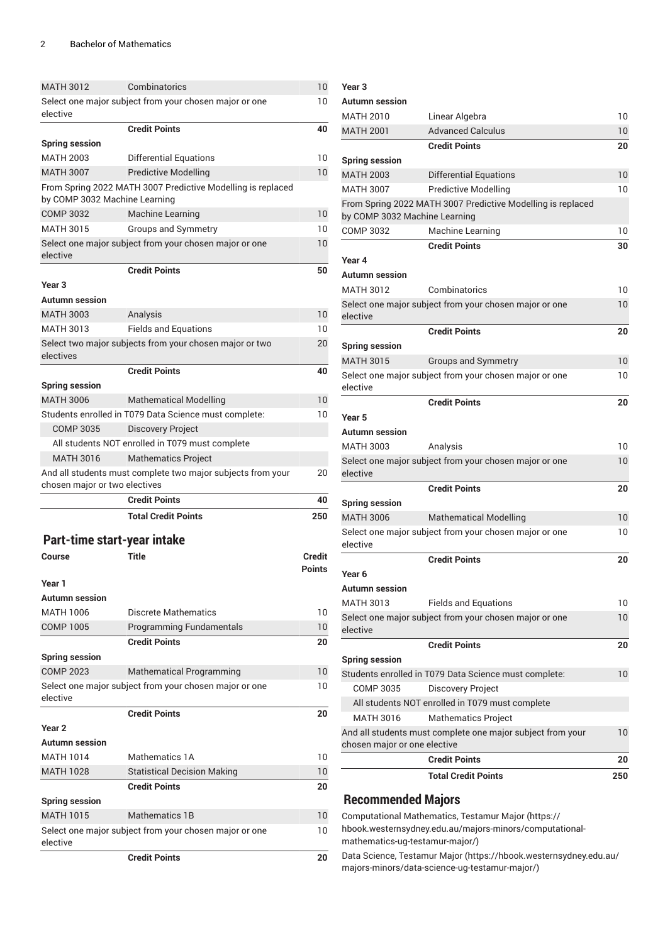| <b>MATH 3012</b>              | Combinatorics                                               | 10            |
|-------------------------------|-------------------------------------------------------------|---------------|
|                               | Select one major subject from your chosen major or one      | 10            |
| elective                      |                                                             |               |
|                               | <b>Credit Points</b>                                        | 40            |
| <b>Spring session</b>         |                                                             |               |
| <b>MATH 2003</b>              | <b>Differential Equations</b>                               | 10            |
| <b>MATH 3007</b>              | <b>Predictive Modelling</b>                                 | 10            |
|                               | From Spring 2022 MATH 3007 Predictive Modelling is replaced |               |
| by COMP 3032 Machine Learning |                                                             |               |
| <b>COMP 3032</b>              | <b>Machine Learning</b>                                     | 10            |
| MATH 3015                     | <b>Groups and Symmetry</b>                                  | 10            |
| elective                      | Select one major subject from your chosen major or one      | 10            |
|                               | <b>Credit Points</b>                                        | 50            |
| Year <sub>3</sub>             |                                                             |               |
| Autumn session                |                                                             |               |
| <b>MATH 3003</b>              | Analysis                                                    | 10            |
| <b>MATH 3013</b>              | <b>Fields and Equations</b>                                 | 10            |
|                               | Select two major subjects from your chosen major or two     | 20            |
| electives                     |                                                             |               |
|                               | <b>Credit Points</b>                                        | 40            |
| <b>Spring session</b>         |                                                             |               |
| <b>MATH 3006</b>              | <b>Mathematical Modelling</b>                               | 10            |
|                               | Students enrolled in T079 Data Science must complete:       | 10            |
| <b>COMP 3035</b>              | <b>Discovery Project</b>                                    |               |
|                               | All students NOT enrolled in T079 must complete             |               |
| <b>MATH 3016</b>              | <b>Mathematics Project</b>                                  |               |
| chosen major or two electives | And all students must complete two major subjects from your | 20            |
|                               | <b>Credit Points</b>                                        | 40            |
|                               | <b>Total Credit Points</b>                                  | 250           |
|                               |                                                             |               |
| Part-time start-year intake   |                                                             |               |
| Course                        | <b>Title</b>                                                | Credit        |
|                               |                                                             | <b>Points</b> |
| Year 1                        |                                                             |               |
| Autumn session                |                                                             |               |
| MATH 1006                     | Discrete Mathematics                                        | 10            |
| <b>COMP 1005</b>              | <b>Programming Fundamentals</b>                             | 10            |
|                               | <b>Credit Points</b>                                        | 20            |
| <b>Spring session</b>         |                                                             |               |
| <b>COMP 2023</b>              | <b>Mathematical Programming</b>                             | 10            |
|                               | Select one major subject from your chosen major or one      | 10            |
| elective                      |                                                             |               |
|                               | <b>Credit Points</b>                                        | 20            |
| Year <sub>2</sub>             |                                                             |               |
| <b>Autumn session</b>         |                                                             |               |
| <b>MATH 1014</b>              | Mathematics 1A                                              | 10            |
| <b>MATH 1028</b>              | <b>Statistical Decision Making</b>                          | 10            |
|                               | Credit Points                                               | 20            |
| <b>Spring session</b>         |                                                             |               |
| <b>MATH 1015</b>              | Mathematics 1B                                              | 10            |
|                               | Select one major subject from your chosen major or one      | 10            |
| elective                      |                                                             |               |
|                               | <b>Credit Points</b>                                        | 20            |

| Year 3                        |                                                             |     |
|-------------------------------|-------------------------------------------------------------|-----|
| <b>Autumn</b> session         |                                                             |     |
| <b>MATH 2010</b>              | Linear Algebra                                              | 10  |
| <b>MATH 2001</b>              | <b>Advanced Calculus</b>                                    | 10  |
|                               | <b>Credit Points</b>                                        | 20  |
| <b>Spring session</b>         |                                                             |     |
| <b>MATH 2003</b>              | <b>Differential Equations</b>                               | 10  |
| <b>MATH 3007</b>              | <b>Predictive Modelling</b>                                 | 10  |
| by COMP 3032 Machine Learning | From Spring 2022 MATH 3007 Predictive Modelling is replaced |     |
| <b>COMP 3032</b>              | Machine Learning                                            | 10  |
|                               | <b>Credit Points</b>                                        | 30  |
| Year 4                        |                                                             |     |
| <b>Autumn</b> session         |                                                             |     |
| <b>MATH 3012</b>              | Combinatorics                                               | 10  |
| elective                      | Select one major subject from your chosen major or one      | 10  |
|                               | <b>Credit Points</b>                                        | 20  |
| <b>Spring session</b>         |                                                             |     |
| <b>MATH 3015</b>              | <b>Groups and Symmetry</b>                                  | 10  |
|                               | Select one major subject from your chosen major or one      | 10  |
| elective                      |                                                             |     |
|                               | <b>Credit Points</b>                                        | 20  |
| Year 5                        |                                                             |     |
| <b>Autumn session</b>         |                                                             |     |
| <b>MATH 3003</b>              | Analysis                                                    | 10  |
| elective                      | Select one major subject from your chosen major or one      | 10  |
|                               | <b>Credit Points</b>                                        | 20  |
| <b>Spring session</b>         |                                                             |     |
| <b>MATH 3006</b>              | <b>Mathematical Modelling</b>                               | 10  |
| elective                      | Select one major subject from your chosen major or one      | 10  |
|                               | <b>Credit Points</b>                                        | 20  |
| Year 6                        |                                                             |     |
| Autumn session                |                                                             |     |
| <b>MATH 3013</b>              | <b>Fields and Equations</b>                                 | 10  |
| elective                      | Select one major subject from your chosen major or one      | 10  |
|                               | <b>Credit Points</b>                                        | 20  |
| <b>Spring session</b>         |                                                             |     |
|                               | Students enrolled in T079 Data Science must complete:       | 10  |
| COMP 3035                     | Discovery Project                                           |     |
|                               | All students NOT enrolled in T079 must complete             |     |
| <b>MATH 3016</b>              | <b>Mathematics Project</b>                                  |     |
| chosen major or one elective  | And all students must complete one major subject from your  | 10  |
|                               | <b>Credit Points</b>                                        | 20  |
|                               | <b>Total Credit Points</b>                                  | 250 |

# **Recommended Majors**

[Computational](https://hbook.westernsydney.edu.au/majors-minors/computational-mathematics-ug-testamur-major/) Mathematics, Testamur Major ([https://](https://hbook.westernsydney.edu.au/majors-minors/computational-mathematics-ug-testamur-major/) [hbook.westernsydney.edu.au/majors-minors/computational](https://hbook.westernsydney.edu.au/majors-minors/computational-mathematics-ug-testamur-major/)[mathematics-ug-testamur-major/\)](https://hbook.westernsydney.edu.au/majors-minors/computational-mathematics-ug-testamur-major/)

Data Science, [Testamur](https://hbook.westernsydney.edu.au/majors-minors/data-science-ug-testamur-major/) Major ([https://hbook.westernsydney.edu.au/](https://hbook.westernsydney.edu.au/majors-minors/data-science-ug-testamur-major/) [majors-minors/data-science-ug-testamur-major/\)](https://hbook.westernsydney.edu.au/majors-minors/data-science-ug-testamur-major/)